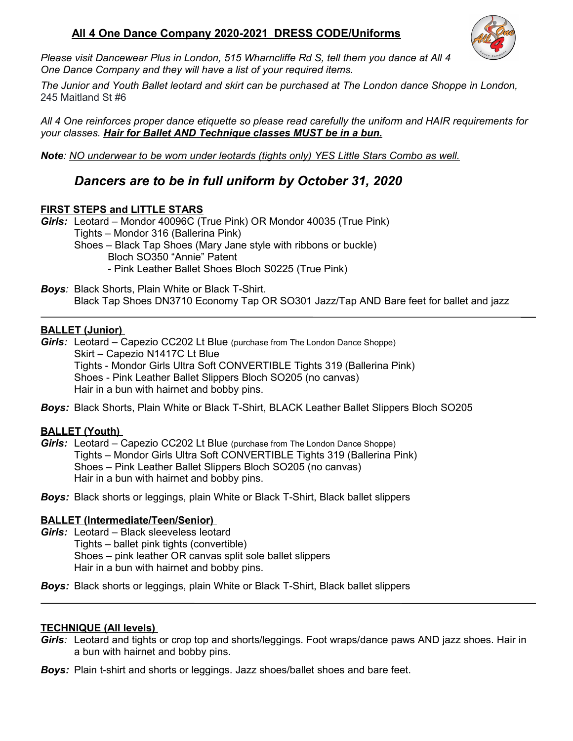## **All 4 One Dance Company 2020-2021 DRESS CODE/Uniforms**



*Please visit Dancewear Plus in London, 515 Wharncliffe Rd S, tell them you dance at All 4 One Dance Company and they will have a list of your required items.*

*The Junior and Youth Ballet leotard and skirt can be purchased at The London dance Shoppe in London,*  245 Maitland St #6

*All 4 One reinforces proper dance etiquette so please read carefully the uniform and HAIR requirements for your classes. Hair for Ballet AND Technique classes MUST be in a bun.*

*Note: NO underwear to be worn under leotards (tights only) YES Little Stars Combo as well.*

# *Dancers are to be in full uniform by October 31, 2020*

#### **FIRST STEPS and LITTLE STARS**

*Girls:* Leotard – Mondor 40096C (True Pink) OR Mondor 40035 (True Pink) Tights – Mondor 316 (Ballerina Pink) Shoes – Black Tap Shoes (Mary Jane style with ribbons or buckle) Bloch SO350 "Annie" Patent - Pink Leather Ballet Shoes Bloch S0225 (True Pink)

*Boys:* Black Shorts, Plain White or Black T-Shirt. Black Tap Shoes DN3710 Economy Tap OR SO301 Jazz/Tap AND Bare feet for ballet and jazz

#### **BALLET (Junior)**

*Girls:* Leotard – Capezio CC202 Lt Blue (purchase from The London Dance Shoppe) Skirt – Capezio N1417C Lt Blue Tights - Mondor Girls Ultra Soft CONVERTIBLE Tights 319 (Ballerina Pink) Shoes - Pink Leather Ballet Slippers Bloch SO205 (no canvas) Hair in a bun with hairnet and bobby pins.

*Boys:* Black Shorts, Plain White or Black T-Shirt, BLACK Leather Ballet Slippers Bloch SO205

#### **BALLET (Youth)**

*Girls:* Leotard – Capezio CC202 Lt Blue (purchase from The London Dance Shoppe) Tights – Mondor Girls Ultra Soft CONVERTIBLE Tights 319 (Ballerina Pink) Shoes – Pink Leather Ballet Slippers Bloch SO205 (no canvas) Hair in a bun with hairnet and bobby pins.

*Boys:* Black shorts or leggings, plain White or Black T-Shirt, Black ballet slippers

#### **BALLET (Intermediate/Teen/Senior)**

- *Girls:* Leotard Black sleeveless leotard Tights – ballet pink tights (convertible) Shoes – pink leather OR canvas split sole ballet slippers Hair in a bun with hairnet and bobby pins.
- *Boys:* Black shorts or leggings, plain White or Black T-Shirt, Black ballet slippers

#### **TECHNIQUE (All levels)**

- *Girls:* Leotard and tights or crop top and shorts/leggings. Foot wraps/dance paws AND jazz shoes. Hair in a bun with hairnet and bobby pins.
- *Boys:* Plain t-shirt and shorts or leggings. Jazz shoes/ballet shoes and bare feet.